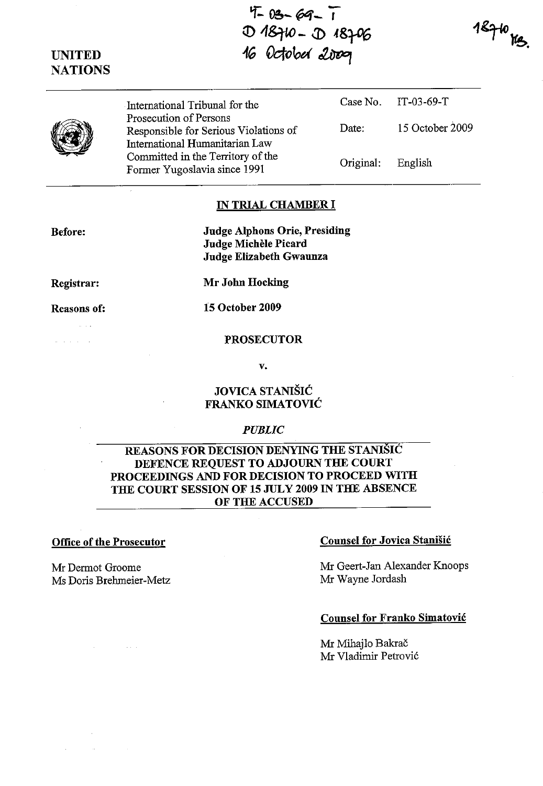$4 - 03 - 69 - 1$ **q) 1&rw - J) .f8%**  where we have<br>16 October 2009

 $18710$   $\frac{12}{3}$ 

|  | International Tribunal for the                                                                    |           | Case No. $11 - 03 - 69 - 1$ |
|--|---------------------------------------------------------------------------------------------------|-----------|-----------------------------|
|  | Prosecution of Persons<br>Responsible for Serious Violations of<br>International Humanitarian Law | Date:     | 15 October 2009             |
|  | Committed in the Territory of the<br>Former Yugoslavia since 1991                                 | Original: | English                     |

#### **IN TRIAL CHAMBER I**

**Before:** 

**UNITED NATIONS** 

> **Judge Alphons Orie, Presiding Judge Michele Picard Judge Elizabeth Gwaunza**

**Registrar:** 

**Mr John Hocking** 

**Reasons of:** 

and a short

 $\sim$   $\sim$   $\sim$ 

**15 October 2009** 

#### **PROSECUTOR**

**v.** 

# **JOVICA STANIŠIĆ FRANKO SIMATOVIC**

#### *PUBLIC*

## **REASONS FOR DECISION DENYING THE STANISIC DEFENCE REQUEST TO ADJOURN THE COURT PROCEEDINGS AND FOR DECISION TO PROCEED WITH THE COURT SESSION OF 15 JULY 2009 IN THE ABSENCE OF THE ACCUSED**

Mr Dermot Groome Ms Doris Brehmeier-Metz

 $\Delta \phi$  and  $\phi$  is a second order of

## **Office of the Prosecutor Counsel for Jovica Stanisić**

Mr Geert-Jan Alexander Knoops Mr Wayne Jordash

 $C_1 \cup N_1$  IT-03-69- $T_1$ 

### **Counsel for Franko Simatovic**

Mr Mihajlo Bakrač Mr Vladimir Petrovic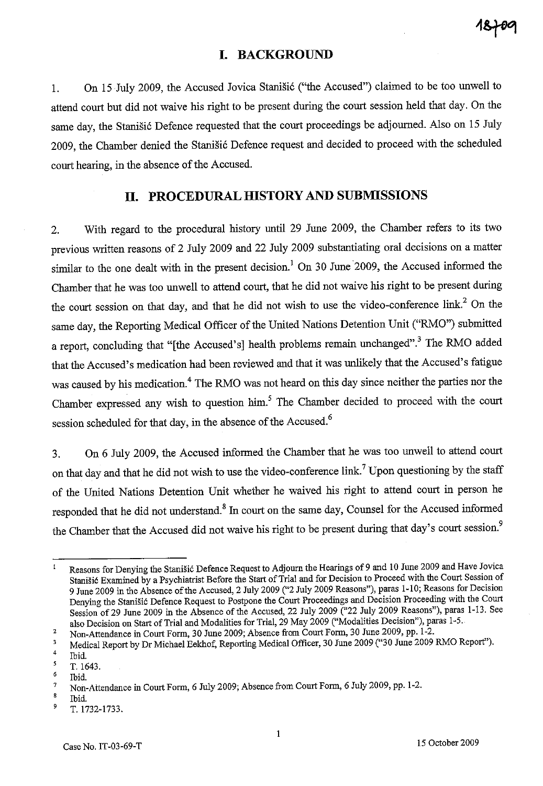# **I. BACKGROUND**

1. On 15 July 2009, the Accused Jovica Stanišić ("the Accused") claimed to be too unwell to attend court but did not waive his right to be present during the court session held that day. On the same day, the Stanišić Defence requested that the court proceedings be adjourned. Also on 15 July 2009, the Chamber denied the Stanišić Defence request and decided to proceed with the scheduled court hearing, in the absence of the Accused.

## **II. PROCEDURAL HISTORY AND SUBMISSIONS**

2. With regard to the procedural history until 29 June 2009, the Chamber refers to its two previous written reasons of 2 July 2009 and 22 July 2009 substantiating oral decisions on a matter similar to the one dealt with in the present decision.<sup>1</sup> On 30 June 2009, the Accused informed the Chamber that he was too unwell to attend court, that he did not waive his right to be present during the court session on that day, and that he did not wish to use the video-conference link? On the same day, the Reporting Medical Officer of the United Nations Detention Unit ("RMO") submitted a report, concluding that "[the Accused's] health problems remain unchanged".<sup>3</sup> The RMO added that the Accused's medication had been reviewed and that it was unlikely that the Accused's fatigue was caused by his medication.<sup>4</sup> The RMO was not heard on this day since neither the parties nor the Chamber expressed any wish to question him.<sup>5</sup> The Chamber decided to proceed with the court session scheduled for that day, in the absence of the Accused.<sup>6</sup>

3. On 6 July 2009, the Accused informed the Chamber that he was too unwell to attend court on that day and that he did not wish to use the video-conference link.<sup>7</sup> Upon questioning by the staff of the United Nations Detention Unit whether he waived his right to attend court in person he responded that he did not understand.<sup>8</sup> In court on the same day, Counsel for the Accused informed the Chamber that the Accused did not waive his right to be present during that day's court session.<sup>9</sup>

Reasons for Denying the Stanišić Defence Request to Adjourn the Hearings of 9 and 10 June 2009 and Have Jovica Stanišić Examined by a Psychiatrist Before the Start of Trial and for Decision to Proceed with the Court Session of 9 June 2009 in the Absence of the Accused, 2 July 2009 ("2 July 2009 Reasons"), paras 1-10; Reasons for Decision Denying the Stanišić Defence Request to Postpone the Court Proceedings and Decision Proceeding with the Court Session of 29 June 2009 in the Absence of the Accused, 22 July 2009 ("22 July 2009 Reasons"), paras 1-13. See also Decision on Start of Trial and Modalities for Trial, 29 May 2009 ("Modalities Decision"), paras 1-5.

<sup>2</sup>  Non-Attendance in Court Form, 30 June 2009; Absence from Court Form, 30 June 2009, pp. 1-2.

<sup>3</sup>  Medical Report by Dr Michael Eekhof, Reporting Medical Officer, 30 June 2009 ("30 June 2009 RMO Report").

<sup>4</sup>  Ibid.

 $\mathbf{s}$ T.I643.

<sup>6</sup>  Ibid.

<sup>7</sup>  Non-Attendance in Court Form, 6 July 2009; Absence from Court Form, 6 July 2009, pp. 1-2.

 $\pmb{8}$ Ibid.

<sup>9</sup>  T.1732-1733.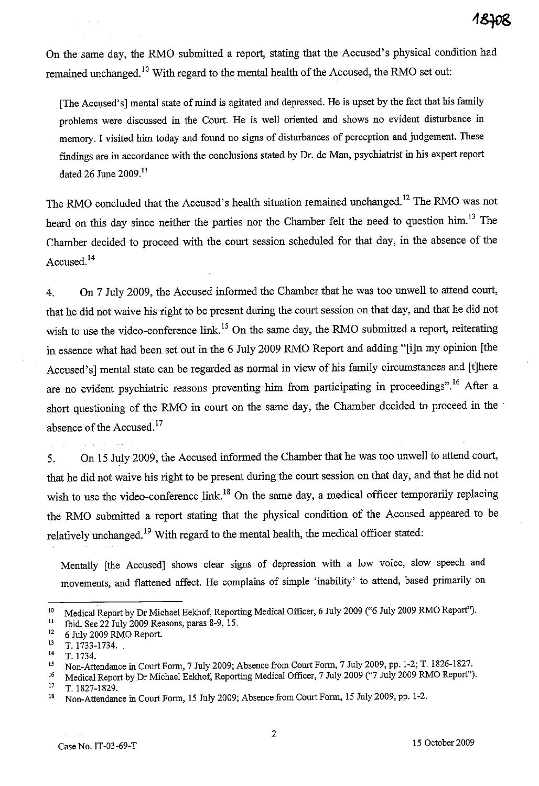On the same day, the RMO submitted a report, stating that the Accused's physical condition had remained unchanged.<sup>10</sup> With regard to the mental health of the Accused, the RMO set out:

[The Accused's] mental state of mind is agitated and depressed. He is upset by the fact that his family problems were discussed in the Court. He is well oriented and shows no evident disturbance in memory. I visited him today and found no signs of disturbances of perception and judgement. These findings are in accordance with the conclusions stated by Dr. de Man, psychiatrist in his expert report dated 26 June 2009.<sup>11</sup>

The RMO concluded that the Accused's health situation remained unchanged.<sup>12</sup> The RMO was not heard on this day since neither the parties nor the Chamber felt the need to question him.<sup>13</sup> The Chamber decided to proceed with the court session scheduled for that day, in the absence of the Accused. 14

4. On 7 July 2009, the Accused informed the Chamber that he was too unwell to attend court, that he did not waive his right to be present during the court session on that day, and that he did not wish to use the video-conference link.<sup>15</sup> On the same day, the RMO submitted a report, reiterating in essence what had been set out in the 6 July 2009 RMO Report and adding "[i]n my opinion [the Accused's] mental state can be regarded as normal in view of his family circumstances and [t]here are no evident psychiatric reasons preventing him from participating in proceedings".<sup>16</sup> After a short questioning of the RMO in court on the same day, the Chamber decided to proceed in the absence of the Accused. $17$ 

5. On 15 July 2009, the Accused informed the Chamber that he was too unwell to attend court, that he did not waive his right to be present during the court session on that day, and that he did not wish to use the video-conference link.<sup>18</sup> On the same day, a medical officer temporarily replacing the RMO submitted a report stating that the physical condition of the Accused appeared to be relatively unchanged.<sup>19</sup> With regard to the mental health, the medical officer stated:

Mentally [the Accused] shows clear signs of depression with a low voice, slow speech and movements, and flattened affect. He complains of simple 'inability' to attend, based primarily on

<sup>&</sup>lt;sup>10</sup> Medical Report by Dr Michael Eekhof, Reporting Medical Officer, 6 July 2009 ("6 July 2009 RMO Report").<br><sup>11</sup> Thid See 22 July 2009 Reasons paras 8-9, 15.

<sup>11</sup> Ibid. See 22 July 2009 Reasons, paras 8-9, 15.

 $12$  6 July 2009 RMO Report.

 $13$  T. 1733-1734.

 $14$  T. 1734.

<sup>&</sup>lt;sup>15</sup> Non-Attendance in Court Form, 7 July 2009; Absence from Court Form, 7 July 2009, pp. 1-2; T. 1826-1827.

<sup>&</sup>lt;sup>16</sup> Medical Report by Dr Michael Eekhof, Reporting Medical Officer, 7 July 2009 ("7 July 2009 RMO Report"). <sup>17</sup> T. 1827-1829.

<sup>&</sup>lt;sup>18</sup> Non-Attendance in Court Form, 15 July 2009; Absence from Court Form, 15 July 2009, pp. 1-2.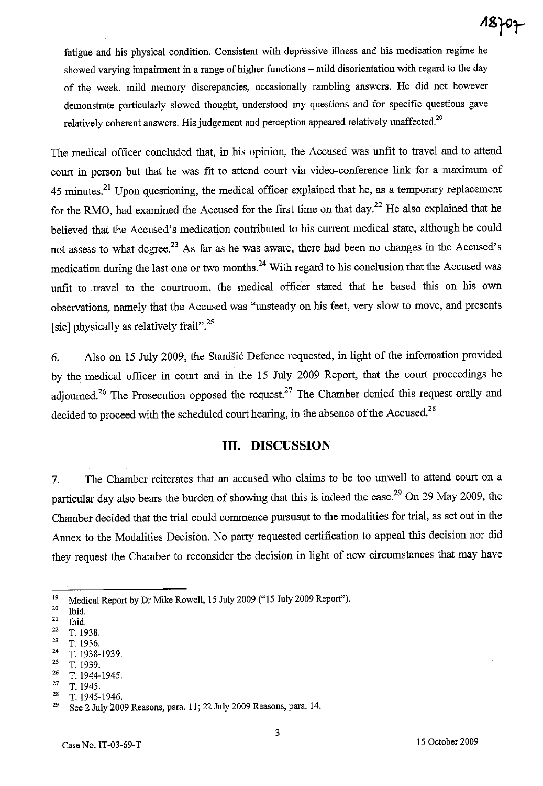fatigue and his physical condition. Consistent with depressive illness and his medication regime he showed varying impairment in a range of higher functions – mild disorientation with regard to the day of the week, mild memory discrepancies, occasionally rambling answers. He did not however demonstrate particularly slowed thought, understood my questions and for specific questions gave relatively coherent answers. His judgement and perception appeared relatively unaffected. $20$ 

The medical officer concluded that, in his opinion, the Accused was unfit to travel and to attend court in person but that he was fit to attend court via video-conference link for a maximum of  $45$  minutes.<sup>21</sup> Upon questioning, the medical officer explained that he, as a temporary replacement for the RMO, had examined the Accused for the first time on that day.<sup>22</sup> He also explained that he believed that the Accused's medication contributed to his current medical state, although he could not assess to what degree.<sup>23</sup> As far as he was aware, there had been no changes in the Accused's medication during the last one or two months.<sup>24</sup> With regard to his conclusion that the Accused was unfit to travel to the courtroom, the medical officer stated that he based this on his own observations, namely that the Accused was "unsteady on his feet, very slow to move, and presents [sic] physically as relatively frail".<sup>25</sup>

6. Also on 15 July 2009, the Stanišić Defence requested, in light of the information provided by the medical officer in court and in the 15 July 2009 Report, that the court proceedings be adjourned.<sup>26</sup> The Prosecution opposed the request.<sup>27</sup> The Chamber denied this request orally and decided to proceed with the scheduled court hearing, in the absence of the Accused. $^{28}$ 

## **III. DISCUSSION**

7. The Chamber reiterates that an accused who claims to be too unwell to attend court on a particular day also bears the burden of showing that this is indeed the case.<sup>29</sup> On 29 May 2009, the Chamber decided that the trial could commence pursuant to the modalities for trial, as set out in the Annex to the Modalities Decision. No party requested certification to appeal this decision nor did they request the Chamber to reconsider the decision in light of new circumstances that may have

- <sup>22</sup>**T.1938.**
- 23 T. 1936.
- $\frac{24}{25}$  T. 1938-1939.
- 25 T. 1939.
- 26 T.1944-1945.

28 T.1945-1946.

 $18)07$ 

<sup>&</sup>lt;sup>19</sup> Medical Report by Dr Mike Rowell, 15 July 2009 ("15 July 2009 Report").

 $20$  Ibid.

 $21$  Ibid.

**<sup>27</sup> T.1945.** 

 $29$  See 2 July 2009 Reasons, para. 11; 22 July 2009 Reasons, para. 14.